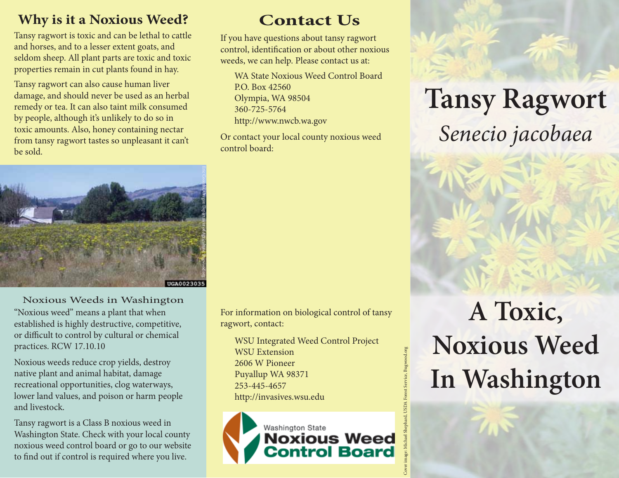#### **Why is it a Noxious Weed?**

Tansy ragwort is toxic and can be lethal to cattle and horses, and to a lesser extent goats, and seldom sheep. All plant parts are toxic and toxic properties remain in cut plants found in hay.

Tansy ragwort can also cause human liver damage, and should never be used as an herbal remedy or tea. It can also taint milk consumed by people, although it's unlikely to do so in toxic amounts. Also, honey containing nectar from tansy ragwort tastes so unpleasant it can't be sold.



#### Noxious Weeds in Washington

"Noxious weed" means a plant that when established is highly destructive, competitive, or difficult to control by cultural or chemical practices. RCW 17.10.10

Noxious weeds reduce crop yields, destroy native plant and animal habitat, damage recreational opportunities, clog waterways, lower land values, and poison or harm people and livestock.

Tansy ragwort is a Class B noxious weed in Washington State. Check with your local county noxious weed control board or go to our website to find out if control is required where you live.

### **Contact Us**

If you have questions about tansy ragwort control, identification or about other noxious weeds, we can help. Please contact us at:

WA State Noxious Weed Control Board P.O. Box 42560 Olympia, WA 98504 360-725-5764 http://www.nwcb.wa.gov

Or contact your local county noxious weed control board:

For information on biological control of tansy ragwort, contact:

WSU Integrated Weed Control Project WSU Extension 2606 W Pioneer Puyallup WA 98371 253-445-4657 http://invasives.wsu.edu

Washington State **Noxious Weed<br>Control Board**  Cover image: Michael Shephard, USDA Forest Service, Bugwood.org

**Tansy Ragwort** *Senecio jacobaea*

# **A Toxic, Noxious Weed In Washington**